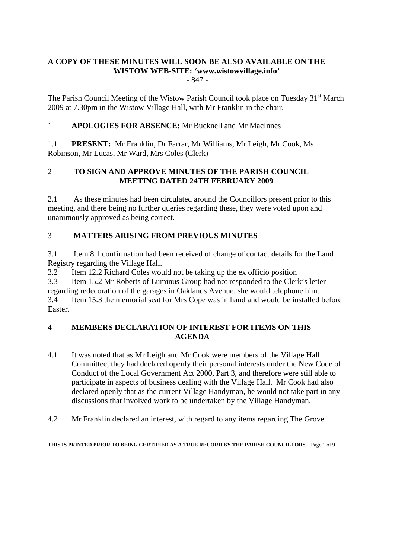# **A COPY OF THESE MINUTES WILL SOON BE ALSO AVAILABLE ON THE WISTOW WEB-SITE: 'www.wistowvillage.info'**

- 847 -

The Parish Council Meeting of the Wistow Parish Council took place on Tuesday 31<sup>st</sup> March 2009 at 7.30pm in the Wistow Village Hall, with Mr Franklin in the chair.

1 **APOLOGIES FOR ABSENCE:** Mr Bucknell and Mr MacInnes

1.1 **PRESENT:** Mr Franklin, Dr Farrar, Mr Williams, Mr Leigh, Mr Cook, Ms Robinson, Mr Lucas, Mr Ward, Mrs Coles (Clerk)

# 2 **TO SIGN AND APPROVE MINUTES OF THE PARISH COUNCIL MEETING DATED 24TH FEBRUARY 2009**

2.1 As these minutes had been circulated around the Councillors present prior to this meeting, and there being no further queries regarding these, they were voted upon and unanimously approved as being correct.

# 3 **MATTERS ARISING FROM PREVIOUS MINUTES**

3.1 Item 8.1 confirmation had been received of change of contact details for the Land Registry regarding the Village Hall.

3.2 Item 12.2 Richard Coles would not be taking up the ex officio position

3.3 Item 15.2 Mr Roberts of Luminus Group had not responded to the Clerk's letter regarding redecoration of the garages in Oaklands Avenue, she would telephone him. 3.4 Item 15.3 the memorial seat for Mrs Cope was in hand and would be installed before Easter.

# 4 **MEMBERS DECLARATION OF INTEREST FOR ITEMS ON THIS AGENDA**

- 4.1 It was noted that as Mr Leigh and Mr Cook were members of the Village Hall Committee, they had declared openly their personal interests under the New Code of Conduct of the Local Government Act 2000, Part 3, and therefore were still able to participate in aspects of business dealing with the Village Hall. Mr Cook had also declared openly that as the current Village Handyman, he would not take part in any discussions that involved work to be undertaken by the Village Handyman.
- 4.2 Mr Franklin declared an interest, with regard to any items regarding The Grove.

**THIS IS PRINTED PRIOR TO BEING CERTIFIED AS A TRUE RECORD BY THE PARISH COUNCILLORS.** Page 1 of 9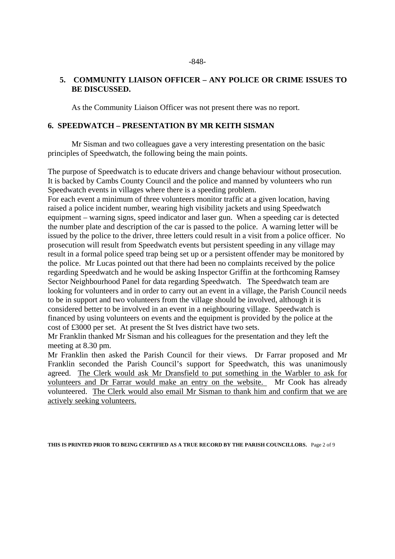#### **5. COMMUNITY LIAISON OFFICER – ANY POLICE OR CRIME ISSUES TO BE DISCUSSED.**

As the Community Liaison Officer was not present there was no report.

#### **6. SPEEDWATCH – PRESENTATION BY MR KEITH SISMAN**

Mr Sisman and two colleagues gave a very interesting presentation on the basic principles of Speedwatch, the following being the main points.

The purpose of Speedwatch is to educate drivers and change behaviour without prosecution. It is backed by Cambs County Council and the police and manned by volunteers who run Speedwatch events in villages where there is a speeding problem.

For each event a minimum of three volunteers monitor traffic at a given location, having raised a police incident number, wearing high visibility jackets and using Speedwatch equipment – warning signs, speed indicator and laser gun. When a speeding car is detected the number plate and description of the car is passed to the police. A warning letter will be issued by the police to the driver, three letters could result in a visit from a police officer. No prosecution will result from Speedwatch events but persistent speeding in any village may result in a formal police speed trap being set up or a persistent offender may be monitored by the police. Mr Lucas pointed out that there had been no complaints received by the police regarding Speedwatch and he would be asking Inspector Griffin at the forthcoming Ramsey Sector Neighbourhood Panel for data regarding Speedwatch. The Speedwatch team are looking for volunteers and in order to carry out an event in a village, the Parish Council needs to be in support and two volunteers from the village should be involved, although it is considered better to be involved in an event in a neighbouring village. Speedwatch is financed by using volunteers on events and the equipment is provided by the police at the cost of £3000 per set. At present the St Ives district have two sets.

Mr Franklin thanked Mr Sisman and his colleagues for the presentation and they left the meeting at 8.30 pm.

Mr Franklin then asked the Parish Council for their views. Dr Farrar proposed and Mr Franklin seconded the Parish Council's support for Speedwatch, this was unanimously agreed. The Clerk would ask Mr Dransfield to put something in the Warbler to ask for volunteers and Dr Farrar would make an entry on the website. Mr Cook has already volunteered. The Clerk would also email Mr Sisman to thank him and confirm that we are actively seeking volunteers.

**THIS IS PRINTED PRIOR TO BEING CERTIFIED AS A TRUE RECORD BY THE PARISH COUNCILLORS.** Page 2 of 9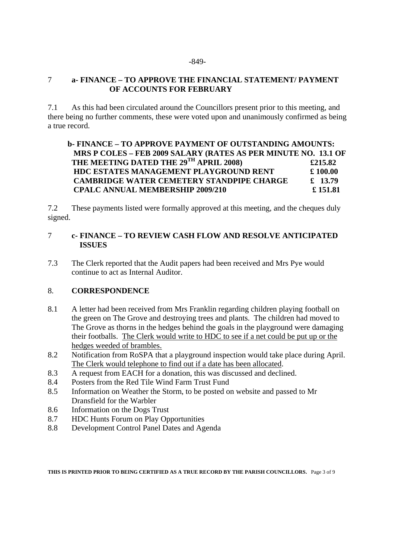#### -849-

#### 7 **a- FINANCE – TO APPROVE THE FINANCIAL STATEMENT/ PAYMENT OF ACCOUNTS FOR FEBRUARY**

7.1 As this had been circulated around the Councillors present prior to this meeting, and there being no further comments, these were voted upon and unanimously confirmed as being a true record.

## **b- FINANCE – TO APPROVE PAYMENT OF OUTSTANDING AMOUNTS: MRS P COLES – FEB 2009 SALARY (RATES AS PER MINUTE NO. 13.1 OF THE MEETING DATED THE 29TH APRIL 2008) £215.82 HDC ESTATES MANAGEMENT PLAYGROUND RENT £ 100.00 CAMBRIDGE WATER CEMETERY STANDPIPE CHARGE £ 13.79 CPALC ANNUAL MEMBERSHIP 2009/210 £ 151.81**

7.2 These payments listed were formally approved at this meeting, and the cheques duly signed.

#### 7 **c- FINANCE – TO REVIEW CASH FLOW AND RESOLVE ANTICIPATED ISSUES**

7.3 The Clerk reported that the Audit papers had been received and Mrs Pye would continue to act as Internal Auditor.

## 8. **CORRESPONDENCE**

- 8.1 A letter had been received from Mrs Franklin regarding children playing football on the green on The Grove and destroying trees and plants. The children had moved to The Grove as thorns in the hedges behind the goals in the playground were damaging their footballs. The Clerk would write to HDC to see if a net could be put up or the hedges weeded of brambles.
- 8.2 Notification from RoSPA that a playground inspection would take place during April. The Clerk would telephone to find out if a date has been allocated.
- 8.3 A request from EACH for a donation, this was discussed and declined.
- 8.4 Posters from the Red Tile Wind Farm Trust Fund
- 8.5 Information on Weather the Storm, to be posted on website and passed to Mr Dransfield for the Warbler
- 8.6 Information on the Dogs Trust
- 8.7 HDC Hunts Forum on Play Opportunities
- 8.8 Development Control Panel Dates and Agenda

**THIS IS PRINTED PRIOR TO BEING CERTIFIED AS A TRUE RECORD BY THE PARISH COUNCILLORS.** Page 3 of 9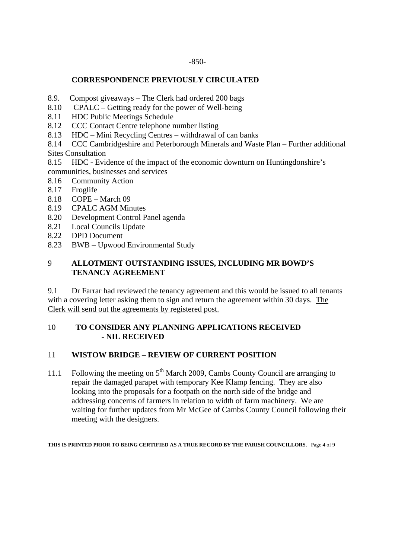#### **CORRESPONDENCE PREVIOUSLY CIRCULATED**

- 8.9. Compost giveaways The Clerk had ordered 200 bags
- 8.10 CPALC Getting ready for the power of Well-being
- 8.11 HDC Public Meetings Schedule
- 8.12 CCC Contact Centre telephone number listing
- 8.13 HDC Mini Recycling Centres withdrawal of can banks
- 8.14 CCC Cambridgeshire and Peterborough Minerals and Waste Plan Further additional Sites Consultation
- 8.15 HDC Evidence of the impact of the economic downturn on Huntingdonshire's communities, businesses and services
- 8.16 Community Action
- 8.17 Froglife
- 8.18 COPE March 09
- 8.19 CPALC AGM Minutes
- 8.20 Development Control Panel agenda
- 8.21 Local Councils Update
- 8.22 DPD Document
- 8.23 BWB Upwood Environmental Study

#### 9 **ALLOTMENT OUTSTANDING ISSUES, INCLUDING MR BOWD'S TENANCY AGREEMENT**

9.1 Dr Farrar had reviewed the tenancy agreement and this would be issued to all tenants with a covering letter asking them to sign and return the agreement within 30 days. The Clerk will send out the agreements by registered post.

#### 10 **TO CONSIDER ANY PLANNING APPLICATIONS RECEIVED - NIL RECEIVED**

## 11 **WISTOW BRIDGE – REVIEW OF CURRENT POSITION**

11.1 Following the meeting on  $5<sup>th</sup>$  March 2009, Cambs County Council are arranging to repair the damaged parapet with temporary Kee Klamp fencing. They are also looking into the proposals for a footpath on the north side of the bridge and addressing concerns of farmers in relation to width of farm machinery. We are waiting for further updates from Mr McGee of Cambs County Council following their meeting with the designers.

**THIS IS PRINTED PRIOR TO BEING CERTIFIED AS A TRUE RECORD BY THE PARISH COUNCILLORS.** Page 4 of 9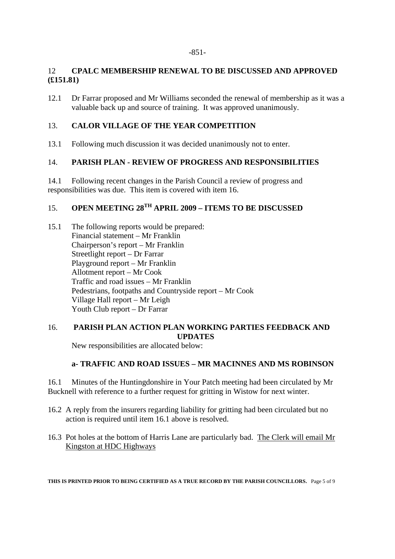#### -851-

#### 12 **CPALC MEMBERSHIP RENEWAL TO BE DISCUSSED AND APPROVED (£151.81)**

12.1 Dr Farrar proposed and Mr Williams seconded the renewal of membership as it was a valuable back up and source of training. It was approved unanimously.

## 13. **CALOR VILLAGE OF THE YEAR COMPETITION**

13.1 Following much discussion it was decided unanimously not to enter.

## 14. **PARISH PLAN - REVIEW OF PROGRESS AND RESPONSIBILITIES**

14.1 Following recent changes in the Parish Council a review of progress and responsibilities was due. This item is covered with item 16.

# 15. **OPEN MEETING 28TH APRIL 2009 – ITEMS TO BE DISCUSSED**

15.1 The following reports would be prepared: Financial statement – Mr Franklin Chairperson's report – Mr Franklin Streetlight report – Dr Farrar Playground report – Mr Franklin Allotment report – Mr Cook Traffic and road issues – Mr Franklin Pedestrians, footpaths and Countryside report – Mr Cook Village Hall report – Mr Leigh Youth Club report – Dr Farrar

## 16. **PARISH PLAN ACTION PLAN WORKING PARTIES FEEDBACK AND UPDATES**

New responsibilities are allocated below:

## **a- TRAFFIC AND ROAD ISSUES – MR MACINNES AND MS ROBINSON**

16.1 Minutes of the Huntingdonshire in Your Patch meeting had been circulated by Mr Bucknell with reference to a further request for gritting in Wistow for next winter.

- 16.2 A reply from the insurers regarding liability for gritting had been circulated but no action is required until item 16.1 above is resolved.
- 16.3 Pot holes at the bottom of Harris Lane are particularly bad. The Clerk will email Mr Kingston at HDC Highways

**THIS IS PRINTED PRIOR TO BEING CERTIFIED AS A TRUE RECORD BY THE PARISH COUNCILLORS.** Page 5 of 9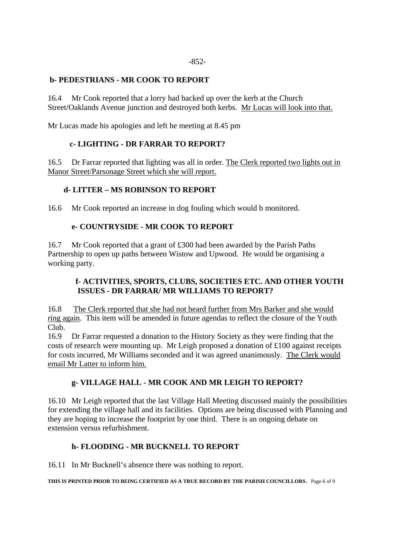#### -852-

## **b- PEDESTRIANS - MR COOK TO REPORT**

16.4 Mr Cook reported that a lorry had backed up over the kerb at the Church Street/Oaklands Avenue junction and destroyed both kerbs. Mr Lucas will look into that.

Mr Lucas made his apologies and left he meeting at 8.45 pm

## **c- LIGHTING - DR FARRAR TO REPORT?**

16.5 Dr Farrar reported that lighting was all in order. The Clerk reported two lights out in Manor Street/Parsonage Street which she will report.

# **d- LITTER – MS ROBINSON TO REPORT**

16.6 Mr Cook reported an increase in dog fouling which would b monitored.

## **e- COUNTRYSIDE - MR COOK TO REPORT**

16.7 Mr Cook reported that a grant of £300 had been awarded by the Parish Paths Partnership to open up paths between Wistow and Upwood. He would be organising a working party.

## **f- ACTIVITIES, SPORTS, CLUBS, SOCIETIES ETC. AND OTHER YOUTH ISSUES - DR FARRAR/ MR WILLIAMS TO REPORT?**

16.8 The Clerk reported that she had not heard further from Mrs Barker and she would ring again. This item will be amended in future agendas to reflect the closure of the Youth Club.

16.9 Dr Farrar requested a donation to the History Society as they were finding that the costs of research were mounting up. Mr Leigh proposed a donation of £100 against receipts for costs incurred, Mr Williams seconded and it was agreed unanimously. The Clerk would email Mr Latter to inform him.

# **g- VILLAGE HALL - MR COOK AND MR LEIGH TO REPORT?**

16.10 Mr Leigh reported that the last Village Hall Meeting discussed mainly the possibilities for extending the village hall and its facilities. Options are being discussed with Planning and they are hoping to increase the footprint by one third. There is an ongoing debate on extension versus refurbishment.

# **h- FLOODING - MR BUCKNELL TO REPORT**

16.11 In Mr Bucknell's absence there was nothing to report.

**THIS IS PRINTED PRIOR TO BEING CERTIFIED AS A TRUE RECORD BY THE PARISH COUNCILLORS.** Page 6 of 9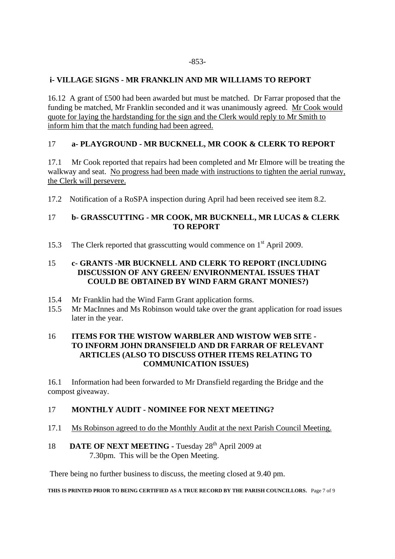## **i- VILLAGE SIGNS - MR FRANKLIN AND MR WILLIAMS TO REPORT**

16.12 A grant of £500 had been awarded but must be matched. Dr Farrar proposed that the funding be matched, Mr Franklin seconded and it was unanimously agreed. Mr Cook would quote for laying the hardstanding for the sign and the Clerk would reply to Mr Smith to inform him that the match funding had been agreed.

# 17 **a- PLAYGROUND - MR BUCKNELL, MR COOK & CLERK TO REPORT**

17.1 Mr Cook reported that repairs had been completed and Mr Elmore will be treating the walkway and seat. No progress had been made with instructions to tighten the aerial runway, the Clerk will persevere.

17.2 Notification of a RoSPA inspection during April had been received see item 8.2.

## 17 **b- GRASSCUTTING - MR COOK, MR BUCKNELL, MR LUCAS & CLERK TO REPORT**

15.3 The Clerk reported that grasscutting would commence on 1<sup>st</sup> April 2009.

## 15 **c- GRANTS -MR BUCKNELL AND CLERK TO REPORT (INCLUDING DISCUSSION OF ANY GREEN/ ENVIRONMENTAL ISSUES THAT COULD BE OBTAINED BY WIND FARM GRANT MONIES?)**

- 15.4 Mr Franklin had the Wind Farm Grant application forms.
- 15.5 Mr MacInnes and Ms Robinson would take over the grant application for road issues later in the year.

## 16 **ITEMS FOR THE WISTOW WARBLER AND WISTOW WEB SITE - TO INFORM JOHN DRANSFIELD AND DR FARRAR OF RELEVANT ARTICLES (ALSO TO DISCUSS OTHER ITEMS RELATING TO COMMUNICATION ISSUES)**

16.1 Information had been forwarded to Mr Dransfield regarding the Bridge and the compost giveaway.

## 17 **MONTHLY AUDIT - NOMINEE FOR NEXT MEETING?**

17.1 Ms Robinson agreed to do the Monthly Audit at the next Parish Council Meeting.

## 18 **DATE OF NEXT MEETING - Tuesday 28<sup>th</sup> April 2009 at** 7.30pm. This will be the Open Meeting.

There being no further business to discuss, the meeting closed at 9.40 pm.

**THIS IS PRINTED PRIOR TO BEING CERTIFIED AS A TRUE RECORD BY THE PARISH COUNCILLORS.** Page 7 of 9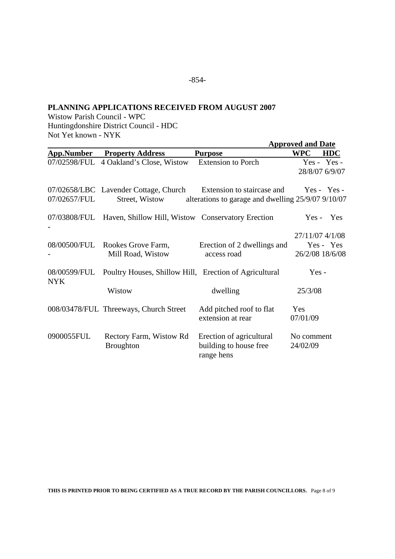# **PLANNING APPLICATIONS RECEIVED FROM AUGUST 2007**

Wistow Parish Council - WPC Huntingdonshire District Council - HDC Not Yet known - NYK

|              |                                                                     |                                                                                  | <b>Approved and Date</b>                        |  |
|--------------|---------------------------------------------------------------------|----------------------------------------------------------------------------------|-------------------------------------------------|--|
| App.Number   | <b>Property Address</b>                                             | <b>Purpose</b>                                                                   | <b>WPC</b><br><b>HDC</b>                        |  |
|              | 07/02598/FUL 4 Oakland's Close, Wistow                              | <b>Extension to Porch</b>                                                        | Yes - Yes -<br>28/8/07 6/9/07                   |  |
| 07/02657/FUL | 07/02658/LBC Lavender Cottage, Church<br>Street, Wistow             | Extension to staircase and<br>alterations to garage and dwelling 25/9/07 9/10/07 | $Yes - Yes -$                                   |  |
|              | 07/03808/FUL Haven, Shillow Hill, Wistow Conservatory Erection      |                                                                                  | Yes - Yes                                       |  |
|              | 08/00500/FUL Rookes Grove Farm,<br>Mill Road, Wistow                | Erection of 2 dwellings and<br>access road                                       | 27/11/07 4/1/08<br>Yes - Yes<br>26/2/08 18/6/08 |  |
| NYK          | 08/00599/FUL Poultry Houses, Shillow Hill, Erection of Agricultural |                                                                                  | Yes-                                            |  |
|              | Wistow                                                              | dwelling                                                                         | 25/3/08                                         |  |
|              | 008/03478/FUL Threeways, Church Street                              | Add pitched roof to flat<br>extension at rear                                    | Yes<br>07/01/09                                 |  |
| 0900055FUL   | Rectory Farm, Wistow Rd<br><b>Broughton</b>                         | Erection of agricultural<br>building to house free<br>range hens                 | No comment<br>24/02/09                          |  |

**THIS IS PRINTED PRIOR TO BEING CERTIFIED AS A TRUE RECORD BY THE PARISH COUNCILLORS.** Page 8 of 9